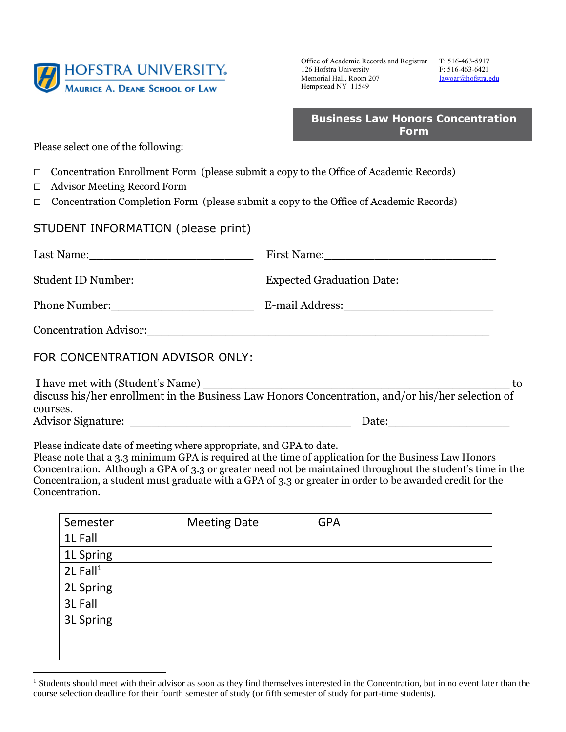

Office of Academic Records and Registrar T: 516-463-5917 126 Hofstra University F: 516-463-6421 Memorial Hall, Room 207 lawoar@hofstra.edu Hempstead NY 11549

|             | <b>Business Law Honors Concentration</b> |
|-------------|------------------------------------------|
| <b>Form</b> |                                          |

Please select one of the following:

- □ Concentration Enrollment Form (please submit a copy to the Office of Academic Records)
- □ Advisor Meeting Record Form

 $\overline{a}$ 

□ Concentration Completion Form (please submit a copy to the Office of Academic Records)

## STUDENT INFORMATION (please print)

| Concentration Advisor: 2008 and 2008 and 2008 and 2008 and 2008 and 2008 and 2008 and 2008 and 2008 and 2008 and 2008 and 2008 and 2008 and 2008 and 2008 and 2008 and 2008 and 2008 and 2008 and 2008 and 2008 and 2008 and 2 |                                                                                                                                            |
|--------------------------------------------------------------------------------------------------------------------------------------------------------------------------------------------------------------------------------|--------------------------------------------------------------------------------------------------------------------------------------------|
| FOR CONCENTRATION ADVISOR ONLY:                                                                                                                                                                                                |                                                                                                                                            |
| courses.                                                                                                                                                                                                                       | I have met with (Student's Name)<br>discuss his/her enrollment in the Business Law Honors Concentration, and/or his/her selection of<br>to |
|                                                                                                                                                                                                                                |                                                                                                                                            |

Please indicate date of meeting where appropriate, and GPA to date.

 Concentration, a student must graduate with a GPA of 3.3 or greater in order to be awarded credit for the Please note that a 3.3 minimum GPA is required at the time of application for the Business Law Honors Concentration. Although a GPA of 3.3 or greater need not be maintained throughout the student's time in the Concentration.

| Semester               | <b>Meeting Date</b> | <b>GPA</b> |
|------------------------|---------------------|------------|
| 1L Fall                |                     |            |
| 1L Spring              |                     |            |
| $2L$ Fall <sup>1</sup> |                     |            |
| 2L Spring              |                     |            |
| 3L Fall                |                     |            |
| 3L Spring              |                     |            |
|                        |                     |            |
|                        |                     |            |

<sup>&</sup>lt;sup>1</sup> Students should meet with their advisor as soon as they find themselves interested in the Concentration, but in no event later than the course selection deadline for their fourth semester of study (or fifth semester of study for part-time students).